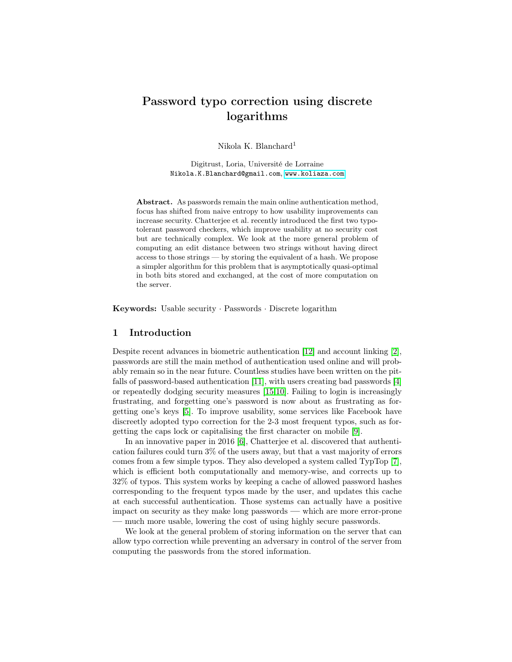# Password typo correction using discrete logarithms

Nikola K. Blanchard<sup>1</sup>

Digitrust, Loria, Université de Lorraine Nikola.K.Blanchard@gmail.com, <www.koliaza.com>

Abstract. As passwords remain the main online authentication method, focus has shifted from naive entropy to how usability improvements can increase security. Chatterjee et al. recently introduced the first two typotolerant password checkers, which improve usability at no security cost but are technically complex. We look at the more general problem of computing an edit distance between two strings without having direct access to those strings — by storing the equivalent of a hash. We propose a simpler algorithm for this problem that is asymptotically quasi-optimal in both bits stored and exchanged, at the cost of more computation on the server.

Keywords: Usable security · Passwords · Discrete logarithm

### 1 Introduction

Despite recent advances in biometric authentication [\[12\]](#page-5-0) and account linking [\[2\]](#page-5-1), passwords are still the main method of authentication used online and will probably remain so in the near future. Countless studies have been written on the pitfalls of password-based authentication [\[11\]](#page-5-2), with users creating bad passwords [\[4\]](#page-5-3) or repeatedly dodging security measures [\[15,](#page-5-4)[10\]](#page-5-5). Failing to login is increasingly frustrating, and forgetting one's password is now about as frustrating as forgetting one's keys [\[5\]](#page-5-6). To improve usability, some services like Facebook have discreetly adopted typo correction for the 2-3 most frequent typos, such as forgetting the caps lock or capitalising the first character on mobile [\[9\]](#page-5-7).

In an innovative paper in 2016 [\[6\]](#page-5-8), Chatterjee et al. discovered that authentication failures could turn 3% of the users away, but that a vast majority of errors comes from a few simple typos. They also developed a system called TypTop [\[7\]](#page-5-9), which is efficient both computationally and memory-wise, and corrects up to 32% of typos. This system works by keeping a cache of allowed password hashes corresponding to the frequent typos made by the user, and updates this cache at each successful authentication. Those systems can actually have a positive impact on security as they make long passwords — which are more error-prone — much more usable, lowering the cost of using highly secure passwords.

We look at the general problem of storing information on the server that can allow typo correction while preventing an adversary in control of the server from computing the passwords from the stored information.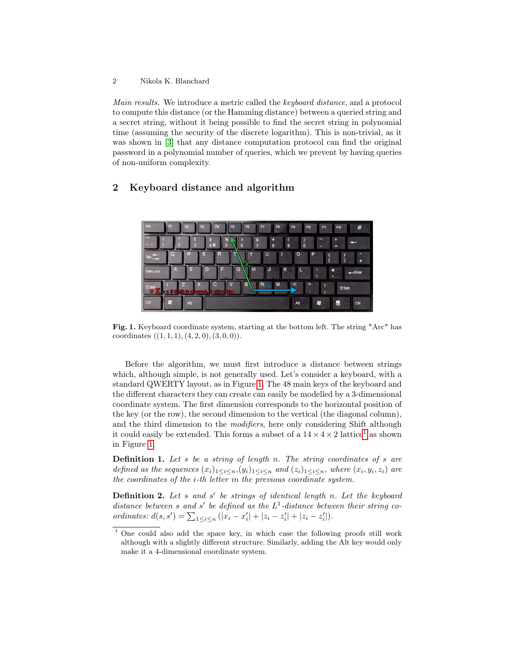Main results. We introduce a metric called the keyboard distance, and a protocol to compute this distance (or the Hamming distance) between a queried string and a secret string, without it being possible to find the secret string in polynomial time (assuming the security of the discrete logarithm). This is non-trivial, as it was shown in [\[3\]](#page-5-10) that any distance computation protocol can find the original password in a polynomial number of queries, which we prevent by having queries of non-uniform complexity.

## 2 Keyboard distance and algorithm



Fig. 1. Keyboard coordinate system, starting at the bottom left. The string "Arc" has coordinates  $((1, 1, 1), (4, 2, 0), (3, 0, 0)).$ 

<span id="page-1-0"></span>Before the algorithm, we must first introduce a distance between strings which, although simple, is not generally used. Let's consider a keyboard, with a standard QWERTY layout, as in Figure [1.](#page-1-0) The 48 main keys of the keyboard and the different characters they can create can easily be modelled by a 3-dimensional coordinate system. The first dimension corresponds to the horizontal position of the key (or the row), the second dimension to the vertical (the diagonal column), and the third dimension to the modifiers, here only considering Shift although it could easily be extended. This forms a subset of a  $14 \times 4 \times 2$  $14 \times 4 \times 2$  lattice<sup>1</sup> as shown in Figure [1.](#page-1-0)

**Definition 1.** Let s be a string of length n. The string coordinates of s are defined as the sequences  $(x_i)_{1 \leq i \leq n}$ ,  $(y_i)_{1 \leq i \leq n}$  and  $(z_i)_{1 \leq i \leq n}$ , where  $(x_i, y_i, z_i)$  are the coordinates of the i-th letter in the previous coordinate system.

**Definition 2.** Let s and s' be strings of identical length n. Let the keyboard distance between s and s' be defined as the  $L^1$ -distance between their string coordinates:  $d(s, s') = \sum_{1 \leq i \leq n} (|x_i - x'_i| + |z_i - z'_i| + |z_i - z'_i|).$ 

<span id="page-1-1"></span><sup>&</sup>lt;sup>1</sup> One could also add the space key, in which case the following proofs still work although with a slightly different structure. Similarly, adding the Alt key would only make it a 4-dimensional coordinate system.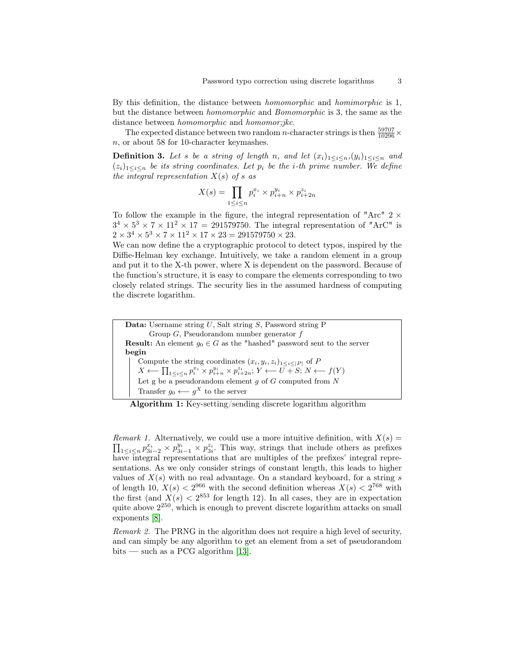By this definition, the distance between homomorphic and homimorphic is 1, but the distance between homomorphic and Bomomorphic is 3, the same as the distance between *homomorphic* and *homomor;jkc*.

The expected distance between two random *n*-character strings is then  $\frac{59707}{10296} \times$ n, or about 58 for 10-character keymashes.

**Definition 3.** Let s be a string of length n, and let  $(x_i)_{1 \leq i \leq n}$ ,  $(y_i)_{1 \leq i \leq n}$  and  $(z_i)_{1\leq i\leq n}$  be its string coordinates. Let  $p_i$  be the *i*-th prime number. We define the integral representation  $X(s)$  of s as

$$
X(s) = \prod_{1 \le i \le n} p_i^{x_i} \times p_{i+n}^{y_i} \times p_{i+2n}^{z_i}
$$

To follow the example in the figure, the integral representation of "Arc"  $2 \times$  $3^4 \times 5^3 \times 7 \times 11^2 \times 17 = 291579750$ . The integral representation of "ArC" is  $2 \times 3^4 \times 5^3 \times 7 \times 11^2 \times 17 \times 23 = 291579750 \times 23.$ 

We can now define the a cryptographic protocol to detect typos, inspired by the Diffie-Helman key exchange. Intuitively, we take a random element in a group and put it to the X-th power, where X is dependent on the password. Because of the function's structure, it is easy to compare the elements corresponding to two closely related strings. The security lies in the assumed hardness of computing the discrete logarithm.

Data: Username string U, Salt string S, Password string P Group  $G$ , Pseudorandom number generator  $f$ **Result:** An element  $g_0 \in G$  as the "hashed" password sent to the server begin Compute the string coordinates  $(x_i, y_i, z_i)_{1 \leq i \leq |P|}$  of P  $X \longleftarrow \prod_{1 \leq i \leq n} p_i^{x_i} \times p_{i+n}^{y_i} \times p_{i+2n}^{z_i}; Y \longleftarrow \overline{U} + S; N \longleftarrow f(Y)$ Let g be a pseudorandom element  $g$  of  $G$  computed from  $N$ Transfer  $g_0 \longleftarrow g^X$  to the server

Algorithm 1: Key-setting/sending discrete logarithm algorithm

*Remark 1.* Alternatively, we could use a more intuitive definition, with  $X(s)$  =  $\prod_{1 \leq i \leq n} p_{3i-2}^{x_i} \times p_{3i-1}^{y_i} \times p_{3i}^{z_i}$ . This way, strings that include others as prefixes have integral representations that are multiples of the prefixes' integral representations. As we only consider strings of constant length, this leads to higher values of  $X(s)$  with no real advantage. On a standard keyboard, for a string s of length 10,  $X(s) < 2^{966}$  with the second definition whereas  $X(s) < 2^{768}$  with the first (and  $X(s) < 2^{853}$  for length 12). In all cases, they are in expectation quite above  $2^{250}$ , which is enough to prevent discrete logarithm attacks on small exponents [\[8\]](#page-5-11).

Remark 2. The PRNG in the algorithm does not require a high level of security, and can simply be any algorithm to get an element from a set of pseudorandom bits — such as a PCG algorithm [\[13\]](#page-5-12).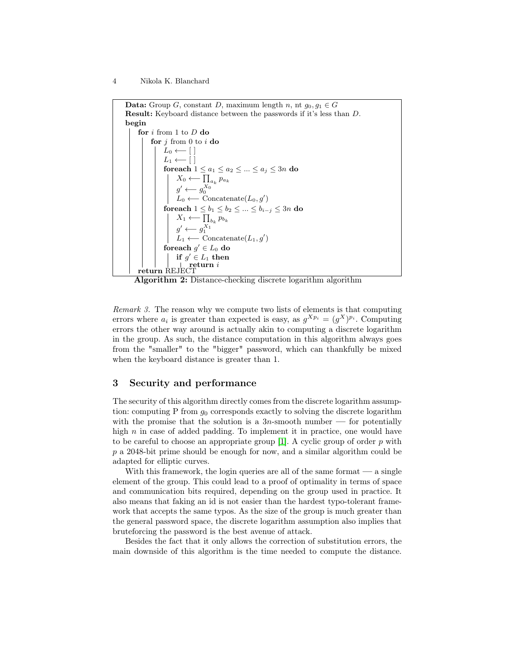4 Nikola K. Blanchard



Algorithm 2: Distance-checking discrete logarithm algorithm

Remark 3. The reason why we compute two lists of elements is that computing errors where  $a_i$  is greater than expected is easy, as  $g^{X p_i} = (g^X)^{p_i}$ . Computing errors the other way around is actually akin to computing a discrete logarithm in the group. As such, the distance computation in this algorithm always goes from the "smaller" to the "bigger" password, which can thankfully be mixed when the keyboard distance is greater than 1.

#### 3 Security and performance

The security of this algorithm directly comes from the discrete logarithm assumption: computing P from  $g_0$  corresponds exactly to solving the discrete logarithm with the promise that the solution is a  $3n$ -smooth number — for potentially high  $n$  in case of added padding. To implement it in practice, one would have to be careful to choose an appropriate group  $[1]$ . A cyclic group of order p with p a 2048-bit prime should be enough for now, and a similar algorithm could be adapted for elliptic curves.

With this framework, the login queries are all of the same format — a single element of the group. This could lead to a proof of optimality in terms of space and communication bits required, depending on the group used in practice. It also means that faking an id is not easier than the hardest typo-tolerant framework that accepts the same typos. As the size of the group is much greater than the general password space, the discrete logarithm assumption also implies that bruteforcing the password is the best avenue of attack.

Besides the fact that it only allows the correction of substitution errors, the main downside of this algorithm is the time needed to compute the distance.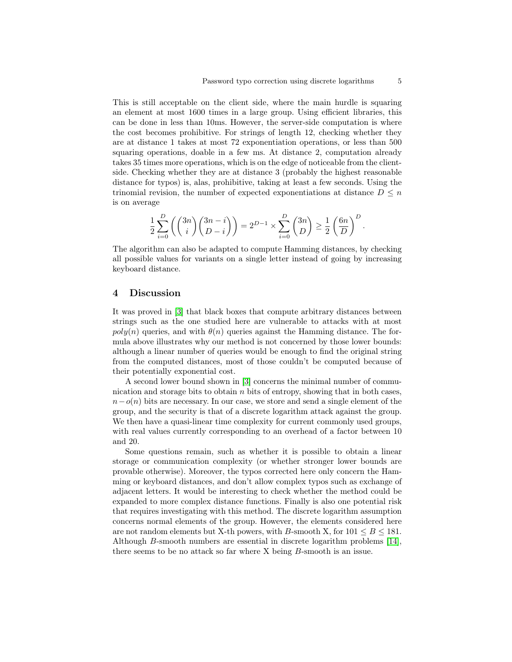This is still acceptable on the client side, where the main hurdle is squaring an element at most 1600 times in a large group. Using efficient libraries, this can be done in less than 10ms. However, the server-side computation is where the cost becomes prohibitive. For strings of length 12, checking whether they are at distance 1 takes at most 72 exponentiation operations, or less than 500 squaring operations, doable in a few ms. At distance 2, computation already takes 35 times more operations, which is on the edge of noticeable from the clientside. Checking whether they are at distance 3 (probably the highest reasonable distance for typos) is, alas, prohibitive, taking at least a few seconds. Using the trinomial revision, the number of expected exponentiations at distance  $D \leq n$ is on average

$$
\frac{1}{2}\sum_{i=0}^D\left(\binom{3n}{i}\binom{3n-i}{D-i}\right) = 2^{D-1} \times \sum_{i=0}^D\binom{3n}{D} \ge \frac{1}{2}\left(\frac{6n}{D}\right)^D.
$$

The algorithm can also be adapted to compute Hamming distances, by checking all possible values for variants on a single letter instead of going by increasing keyboard distance.

#### 4 Discussion

It was proved in [\[3\]](#page-5-10) that black boxes that compute arbitrary distances between strings such as the one studied here are vulnerable to attacks with at most  $poly(n)$  queries, and with  $\theta(n)$  queries against the Hamming distance. The formula above illustrates why our method is not concerned by those lower bounds: although a linear number of queries would be enough to find the original string from the computed distances, most of those couldn't be computed because of their potentially exponential cost.

A second lower bound shown in [\[3\]](#page-5-10) concerns the minimal number of communication and storage bits to obtain  $n$  bits of entropy, showing that in both cases,  $n-o(n)$  bits are necessary. In our case, we store and send a single element of the group, and the security is that of a discrete logarithm attack against the group. We then have a quasi-linear time complexity for current commonly used groups, with real values currently corresponding to an overhead of a factor between 10 and 20.

Some questions remain, such as whether it is possible to obtain a linear storage or communication complexity (or whether stronger lower bounds are provable otherwise). Moreover, the typos corrected here only concern the Hamming or keyboard distances, and don't allow complex typos such as exchange of adjacent letters. It would be interesting to check whether the method could be expanded to more complex distance functions. Finally is also one potential risk that requires investigating with this method. The discrete logarithm assumption concerns normal elements of the group. However, the elements considered here are not random elements but X-th powers, with B-smooth X, for  $101 \leq B \leq 181$ . Although B-smooth numbers are essential in discrete logarithm problems [\[14\]](#page-5-14), there seems to be no attack so far where X being B-smooth is an issue.